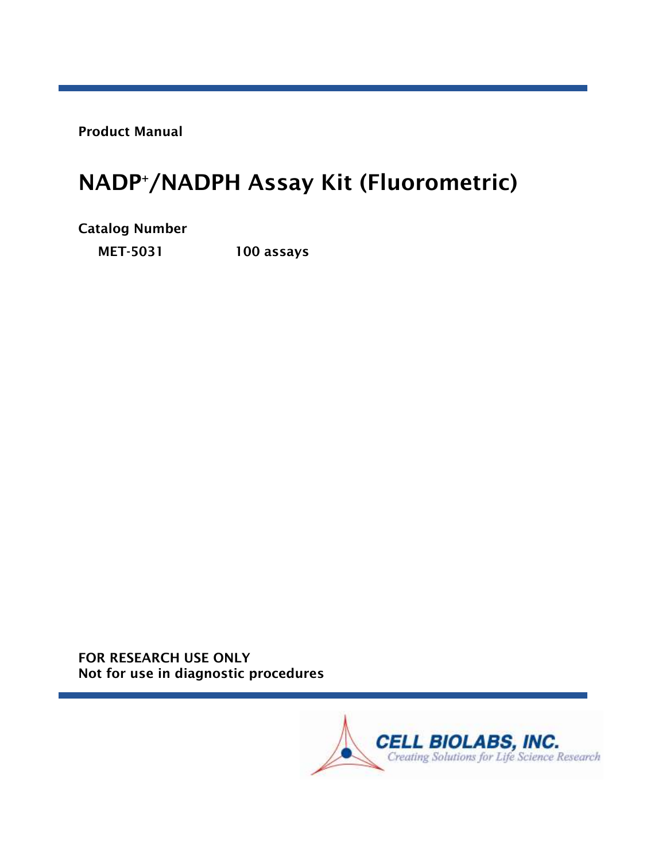Product Manual

# NADP <sup>+</sup>/NADPH Assay Kit (Fluorometric)

Catalog Number

MET-5031 100 assays

FOR RESEARCH USE ONLY Not for use in diagnostic procedures

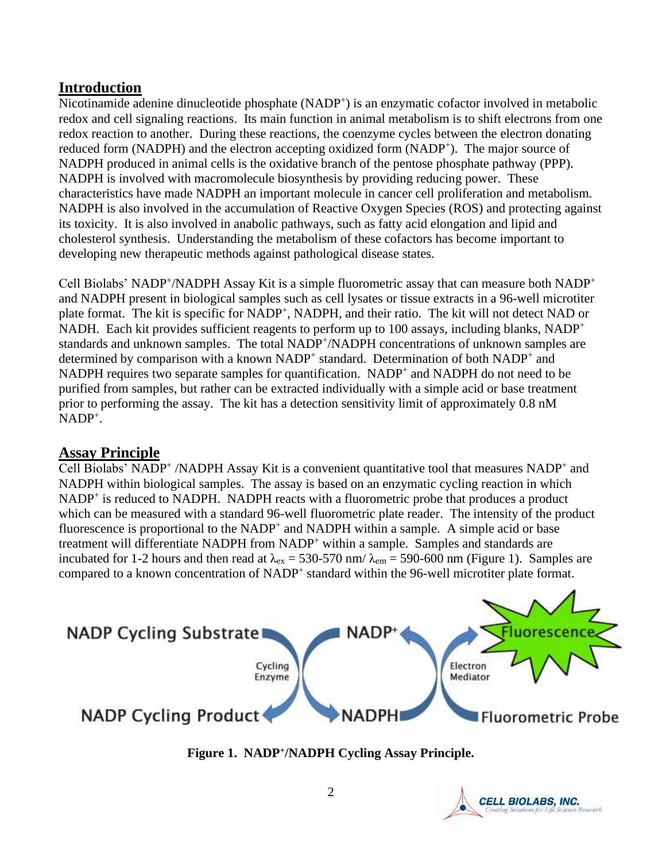## **Introduction**

Nicotinamide adenine dinucleotide phosphate (NADP<sup>+</sup>) is an enzymatic cofactor involved in metabolic redox and cell signaling reactions. Its main function in animal metabolism is to shift electrons from one redox reaction to another. During these reactions, the coenzyme cycles between the electron donating reduced form (NADPH) and the electron accepting oxidized form (NADP<sup>+</sup>). The major source of NADPH produced in animal cells is the oxidative branch of the pentose phosphate pathway (PPP). NADPH is involved with macromolecule biosynthesis by providing reducing power. These characteristics have made NADPH an important molecule in cancer cell proliferation and metabolism. NADPH is also involved in the accumulation of Reactive Oxygen Species (ROS) and protecting against its toxicity. It is also involved in anabolic pathways, such as fatty acid elongation and lipid and cholesterol synthesis. Understanding the metabolism of these cofactors has become important to developing new therapeutic methods against pathological disease states.

Cell Biolabs' NADP<sup>+</sup>/NADPH Assay Kit is a simple fluorometric assay that can measure both NADP<sup>+</sup> and NADPH present in biological samples such as cell lysates or tissue extracts in a 96-well microtiter plate format. The kit is specific for NADP<sup>+</sup>, NADPH, and their ratio. The kit will not detect NAD or NADH. Each kit provides sufficient reagents to perform up to 100 assays, including blanks, NADP<sup>+</sup> standards and unknown samples. The total NADP<sup>+</sup>/NADPH concentrations of unknown samples are determined by comparison with a known NADP<sup>+</sup> standard. Determination of both NADP<sup>+</sup> and NADPH requires two separate samples for quantification. NADP<sup>+</sup> and NADPH do not need to be purified from samples, but rather can be extracted individually with a simple acid or base treatment prior to performing the assay. The kit has a detection sensitivity limit of approximately 0.8 nM  $NADP^+$ .

# **Assay Principle**

Cell Biolabs' NADP<sup>+</sup>/NADPH Assay Kit is a convenient quantitative tool that measures NADP<sup>+</sup> and NADPH within biological samples. The assay is based on an enzymatic cycling reaction in which NADP<sup>+</sup> is reduced to NADPH. NADPH reacts with a fluorometric probe that produces a product which can be measured with a standard 96-well fluorometric plate reader. The intensity of the product fluorescence is proportional to the NADP<sup>+</sup> and NADPH within a sample. A simple acid or base treatment will differentiate NADPH from NADP<sup>+</sup> within a sample. Samples and standards are incubated for 1-2 hours and then read at  $\lambda_{ex} = 530-570$  nm/ $\lambda_{em} = 590-600$  nm (Figure 1). Samples are compared to a known concentration of NADP<sup>+</sup> standard within the 96-well microtiter plate format.



**Figure 1. NADP + /NADPH Cycling Assay Principle.**

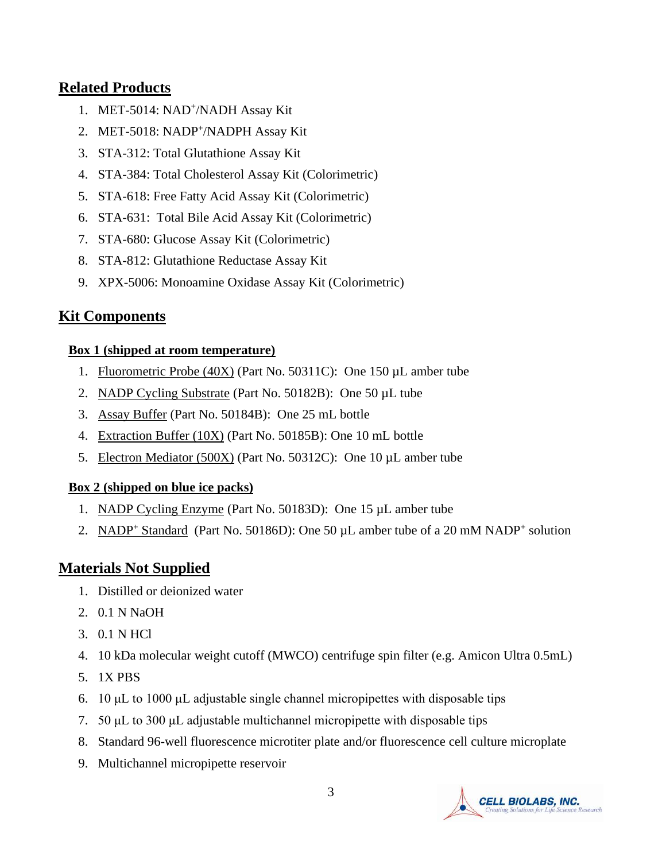## **Related Products**

- 1. MET-5014: NAD<sup>+</sup>/NADH Assay Kit
- 2. MET-5018: NADP<sup>+</sup>/NADPH Assay Kit
- 3. STA-312: Total Glutathione Assay Kit
- 4. STA-384: Total Cholesterol Assay Kit (Colorimetric)
- 5. STA-618: Free Fatty Acid Assay Kit (Colorimetric)
- 6. STA-631: Total Bile Acid Assay Kit (Colorimetric)
- 7. STA-680: Glucose Assay Kit (Colorimetric)
- 8. STA-812: Glutathione Reductase Assay Kit
- 9. XPX-5006: Monoamine Oxidase Assay Kit (Colorimetric)

## **Kit Components**

#### **Box 1 (shipped at room temperature)**

- 1. Fluorometric Probe (40X) (Part No. 50311C): One 150 µL amber tube
- 2. NADP Cycling Substrate (Part No. 50182B): One 50 µL tube
- 3. Assay Buffer (Part No. 50184B): One 25 mL bottle
- 4. Extraction Buffer (10X) (Part No. 50185B): One 10 mL bottle
- 5. Electron Mediator (500X) (Part No. 50312C): One 10 µL amber tube

#### **Box 2 (shipped on blue ice packs)**

- 1. NADP Cycling Enzyme (Part No. 50183D): One 15 µL amber tube
- 2. NADP<sup>+</sup> Standard (Part No. 50186D): One 50 µL amber tube of a 20 mM NADP<sup>+</sup> solution

## **Materials Not Supplied**

- 1. Distilled or deionized water
- 2. 0.1 N NaOH
- 3. 0.1 N HCl
- 4. 10 kDa molecular weight cutoff (MWCO) centrifuge spin filter (e.g. Amicon Ultra 0.5mL)
- 5. 1X PBS
- 6. 10 μL to 1000 μL adjustable single channel micropipettes with disposable tips
- 7. 50 μL to 300 μL adjustable multichannel micropipette with disposable tips
- 8. Standard 96-well fluorescence microtiter plate and/or fluorescence cell culture microplate
- 9. Multichannel micropipette reservoir

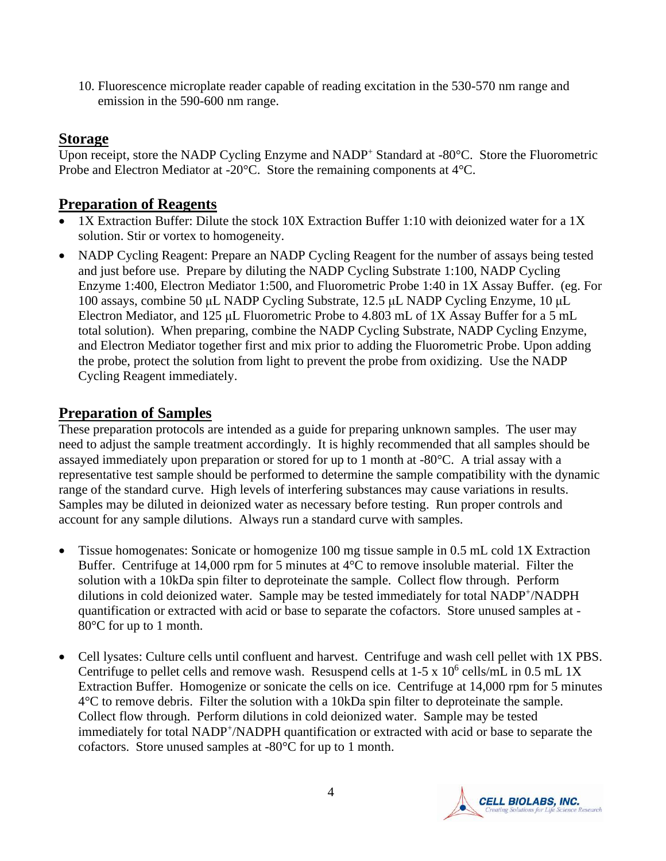10. Fluorescence microplate reader capable of reading excitation in the 530-570 nm range and emission in the 590-600 nm range.

## **Storage**

Upon receipt, store the NADP Cycling Enzyme and NADP<sup>+</sup> Standard at -80°C. Store the Fluorometric Probe and Electron Mediator at -20°C. Store the remaining components at 4°C.

## **Preparation of Reagents**

- 1X Extraction Buffer: Dilute the stock 10X Extraction Buffer 1:10 with deionized water for a 1X solution. Stir or vortex to homogeneity.
- NADP Cycling Reagent: Prepare an NADP Cycling Reagent for the number of assays being tested and just before use. Prepare by diluting the NADP Cycling Substrate 1:100, NADP Cycling Enzyme 1:400, Electron Mediator 1:500, and Fluorometric Probe 1:40 in 1X Assay Buffer. (eg. For 100 assays, combine 50 μL NADP Cycling Substrate, 12.5 μL NADP Cycling Enzyme, 10 μL Electron Mediator, and 125 μL Fluorometric Probe to 4.803 mL of 1X Assay Buffer for a 5 mL total solution). When preparing, combine the NADP Cycling Substrate, NADP Cycling Enzyme, and Electron Mediator together first and mix prior to adding the Fluorometric Probe. Upon adding the probe, protect the solution from light to prevent the probe from oxidizing. Use the NADP Cycling Reagent immediately.

## **Preparation of Samples**

These preparation protocols are intended as a guide for preparing unknown samples. The user may need to adjust the sample treatment accordingly. It is highly recommended that all samples should be assayed immediately upon preparation or stored for up to 1 month at -80°C. A trial assay with a representative test sample should be performed to determine the sample compatibility with the dynamic range of the standard curve. High levels of interfering substances may cause variations in results. Samples may be diluted in deionized water as necessary before testing. Run proper controls and account for any sample dilutions. Always run a standard curve with samples.

- Tissue homogenates: Sonicate or homogenize 100 mg tissue sample in 0.5 mL cold 1X Extraction Buffer. Centrifuge at 14,000 rpm for 5 minutes at 4°C to remove insoluble material. Filter the solution with a 10kDa spin filter to deproteinate the sample. Collect flow through. Perform dilutions in cold deionized water. Sample may be tested immediately for total NADP<sup>+</sup>/NADPH quantification or extracted with acid or base to separate the cofactors. Store unused samples at - 80°C for up to 1 month.
- Cell lysates: Culture cells until confluent and harvest. Centrifuge and wash cell pellet with 1X PBS. Centrifuge to pellet cells and remove wash. Resuspend cells at  $1-5 \times 10^6$  cells/mL in 0.5 mL 1X Extraction Buffer. Homogenize or sonicate the cells on ice. Centrifuge at 14,000 rpm for 5 minutes 4°C to remove debris. Filter the solution with a 10kDa spin filter to deproteinate the sample. Collect flow through. Perform dilutions in cold deionized water. Sample may be tested immediately for total NADP<sup>+</sup>/NADPH quantification or extracted with acid or base to separate the cofactors. Store unused samples at -80°C for up to 1 month.

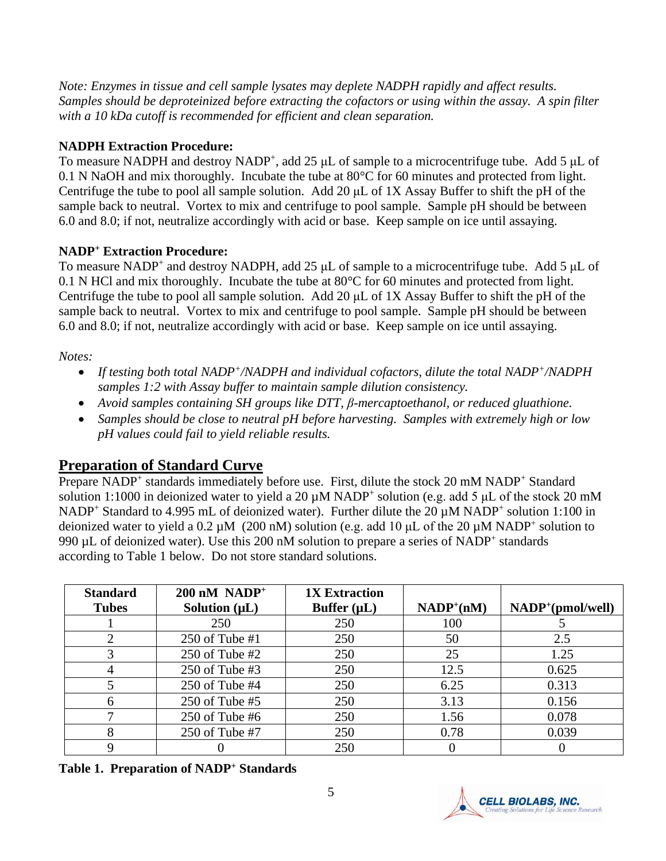*Note: Enzymes in tissue and cell sample lysates may deplete NADPH rapidly and affect results. Samples should be deproteinized before extracting the cofactors or using within the assay. A spin filter with a 10 kDa cutoff is recommended for efficient and clean separation.* 

#### **NADPH Extraction Procedure:**

To measure NADPH and destroy NADP<sup>+</sup>, add 25  $\mu$ L of sample to a microcentrifuge tube. Add 5  $\mu$ L of 0.1 N NaOH and mix thoroughly. Incubate the tube at 80°C for 60 minutes and protected from light. Centrifuge the tube to pool all sample solution. Add 20 μL of 1X Assay Buffer to shift the pH of the sample back to neutral. Vortex to mix and centrifuge to pool sample. Sample pH should be between 6.0 and 8.0; if not, neutralize accordingly with acid or base. Keep sample on ice until assaying.

## **NADP<sup>+</sup> Extraction Procedure:**

To measure NADP<sup>+</sup> and destroy NADPH, add 25  $\mu$ L of sample to a microcentrifuge tube. Add 5  $\mu$ L of 0.1 N HCl and mix thoroughly. Incubate the tube at 80°C for 60 minutes and protected from light. Centrifuge the tube to pool all sample solution. Add 20 μL of 1X Assay Buffer to shift the pH of the sample back to neutral. Vortex to mix and centrifuge to pool sample. Sample pH should be between 6.0 and 8.0; if not, neutralize accordingly with acid or base. Keep sample on ice until assaying.

*Notes:* 

- *If testing both total NADP<sup>+</sup> /NADPH and individual cofactors, dilute the total NADP<sup>+</sup> /NADPH samples 1:2 with Assay buffer to maintain sample dilution consistency.*
- *Avoid samples containing SH groups like DTT, β-mercaptoethanol, or reduced gluathione.*
- *Samples should be close to neutral pH before harvesting. Samples with extremely high or low pH values could fail to yield reliable results.*

# **Preparation of Standard Curve**

Prepare NADP<sup>+</sup> standards immediately before use. First, dilute the stock 20 mM NADP<sup>+</sup> Standard solution 1:1000 in deionized water to yield a 20  $\mu$ M NADP<sup>+</sup> solution (e.g. add 5  $\mu$ L of the stock 20 mM NADP<sup>+</sup> Standard to 4.995 mL of deionized water). Further dilute the 20  $\mu$ M NADP<sup>+</sup> solution 1:100 in deionized water to yield a  $0.2 \mu M$  (200 nM) solution (e.g. add 10  $\mu$ L of the 20  $\mu$ M NADP<sup>+</sup> solution to 990  $\mu$ L of deionized water). Use this 200 nM solution to prepare a series of NADP<sup>+</sup> standards according to Table 1 below. Do not store standard solutions.

| <b>Standard</b> | $200 \text{ nM} \text{ NADP}^+$ | <b>1X Extraction</b> |                |                               |
|-----------------|---------------------------------|----------------------|----------------|-------------------------------|
| <b>Tubes</b>    | Solution $(\mu L)$              | Buffer $(\mu L)$     | $NADP^{+}(nM)$ | NADP <sup>+</sup> (pmol/well) |
|                 | 250                             | 250                  | 100            |                               |
|                 | 250 of Tube $#1$                | 250                  | 50             | 2.5                           |
| 3               | $250$ of Tube #2                | 250                  | 25             | 1.25                          |
|                 | $250$ of Tube #3                | 250                  | 12.5           | 0.625                         |
|                 | $250$ of Tube #4                | 250                  | 6.25           | 0.313                         |
| 6               | $250$ of Tube #5                | 250                  | 3.13           | 0.156                         |
|                 | $250$ of Tube #6                | 250                  | 1.56           | 0.078                         |
| 8               | 250 of Tube $#7$                | 250                  | 0.78           | 0.039                         |
|                 |                                 | 250                  |                |                               |

**Table 1. Preparation of NADP<sup>+</sup> Standards**

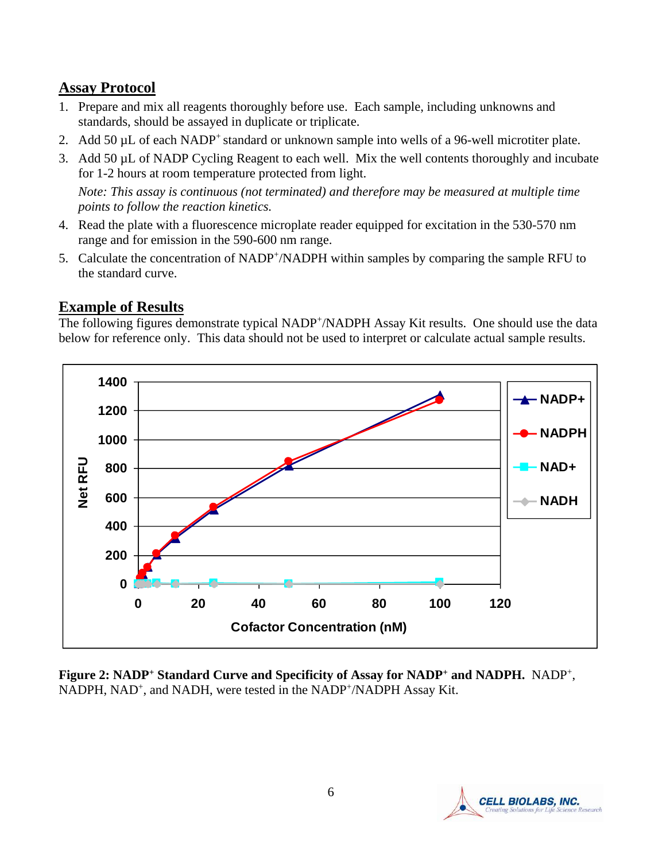## **Assay Protocol**

- 1. Prepare and mix all reagents thoroughly before use. Each sample, including unknowns and standards, should be assayed in duplicate or triplicate.
- 2. Add 50 µL of each NADP<sup>+</sup> standard or unknown sample into wells of a 96-well microtiter plate.
- 3. Add 50 µL of NADP Cycling Reagent to each well. Mix the well contents thoroughly and incubate for 1-2 hours at room temperature protected from light.

*Note: This assay is continuous (not terminated) and therefore may be measured at multiple time points to follow the reaction kinetics.*

- 4. Read the plate with a fluorescence microplate reader equipped for excitation in the 530-570 nm range and for emission in the 590-600 nm range.
- 5. Calculate the concentration of NADP<sup>+</sup>/NADPH within samples by comparing the sample RFU to the standard curve.

# **Example of Results**

The following figures demonstrate typical NADP<sup>+</sup>/NADPH Assay Kit results. One should use the data below for reference only. This data should not be used to interpret or calculate actual sample results.



**Figure 2: NADP<sup>+</sup> Standard Curve and Specificity of Assay for NADP<sup>+</sup> and NADPH.** NADP<sup>+</sup> , NADPH, NAD<sup>+</sup>, and NADH, were tested in the NADP<sup>+</sup>/NADPH Assay Kit.

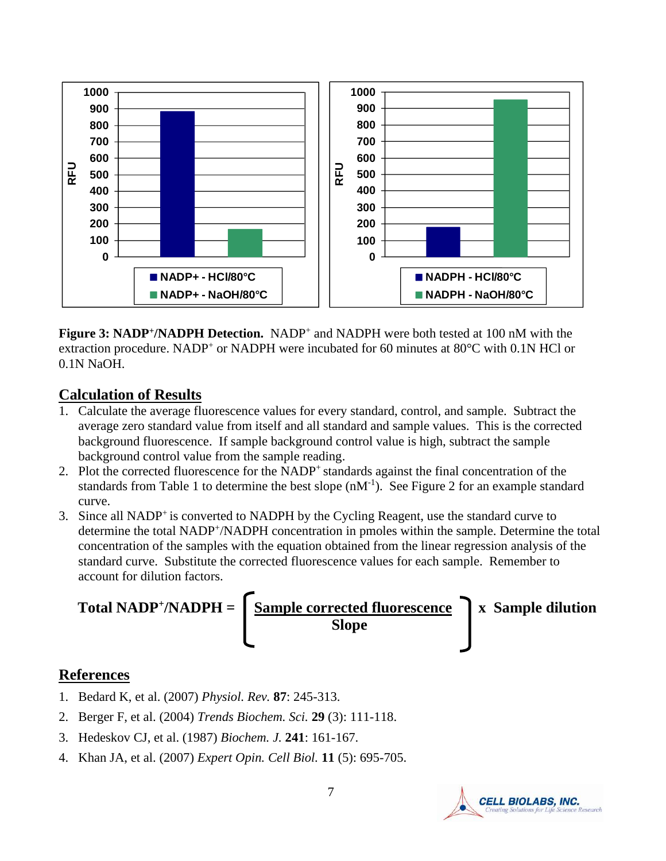

**Figure 3: NADP<sup>+</sup>/NADPH Detection.** NADP<sup>+</sup> and NADPH were both tested at 100 nM with the extraction procedure. NADP<sup>+</sup> or NADPH were incubated for 60 minutes at 80°C with 0.1N HCl or 0.1N NaOH.

#### **Calculation of Results**

- 1. Calculate the average fluorescence values for every standard, control, and sample. Subtract the average zero standard value from itself and all standard and sample values. This is the corrected background fluorescence. If sample background control value is high, subtract the sample background control value from the sample reading.
- 2. Plot the corrected fluorescence for the NADP<sup>+</sup> standards against the final concentration of the standards from Table 1 to determine the best slope  $(nM^{-1})$ . See Figure 2 for an example standard curve.
- 3. Since all NADP<sup>+</sup> is converted to NADPH by the Cycling Reagent, use the standard curve to determine the total NADP<sup>+</sup>/NADPH concentration in pmoles within the sample. Determine the total concentration of the samples with the equation obtained from the linear regression analysis of the standard curve. Substitute the corrected fluorescence values for each sample. Remember to account for dilution factors.



## **References**

- 1. Bedard K, et al. (2007) *Physiol. Rev.* **87**: 245-313.
- 2. Berger F, et al. (2004) *Trends Biochem. Sci.* **29** (3): 111-118.
- 3. Hedeskov CJ, et al. (1987) *Biochem. J.* **241**: 161-167.
- 4. Khan JA, et al. (2007) *Expert Opin. Cell Biol.* **11** (5): 695-705.